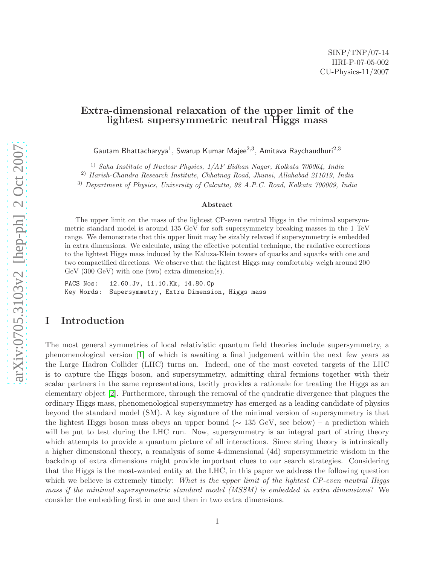# Extra-dimensional relaxation of the upper limit of the lightest supersymmetric neutral Higgs mass

Gautam Bhattacharyya<sup>1</sup>, Swarup Kumar Majee<sup>2,3</sup>, Amitava Raychaudhuri<sup>2,3</sup>

1) Saha Institute of Nuclear Physics, 1/AF Bidhan Nagar, Kolkata 700064, India

2) Harish-Chandra Research Institute, Chhatnag Road, Jhunsi, Allahabad 211019, India

3) Department of Physics, University of Calcutta, 92 A.P.C. Road, Kolkata 700009, India

#### Abstract

The upper limit on the mass of the lightest CP-even neutral Higgs in the minimal supersymmetric standard model is around 135 GeV for soft supersymmetry breaking masses in the 1 TeV range. We demonstrate that this upper limit may be sizably relaxed if supersymmetry is embedded in extra dimensions. We calculate, using the effective potential technique, the radiative corrections to the lightest Higgs mass induced by the Kaluza-Klein towers of quarks and squarks with one and two compactified directions. We observe that the lightest Higgs may comfortably weigh around 200 GeV (300 GeV) with one (two) extra dimension(s).

PACS Nos: 12.60.Jv, 11.10.Kk, 14.80.Cp Key Words: Supersymmetry, Extra Dimension, Higgs mass

### I Introduction

The most general symmetries of local relativistic quantum field theories include supersymmetry, a phenomenological version [\[1\]](#page-12-0) of which is awaiting a final judgement within the next few years as the Large Hadron Collider (LHC) turns on. Indeed, one of the most coveted targets of the LHC is to capture the Higgs boson, and supersymmetry, admitting chiral fermions together with their scalar partners in the same representations, tacitly provides a rationale for treating the Higgs as an elementary object [\[2\]](#page-13-0). Furthermore, through the removal of the quadratic divergence that plagues the ordinary Higgs mass, phenomenological supersymmetry has emerged as a leading candidate of physics beyond the standard model (SM). A key signature of the minimal version of supersymmetry is that the lightest Higgs boson mass obeys an upper bound ( $\sim 135$  GeV, see below) – a prediction which will be put to test during the LHC run. Now, supersymmetry is an integral part of string theory which attempts to provide a quantum picture of all interactions. Since string theory is intrinsically a higher dimensional theory, a reanalysis of some 4-dimensional (4d) supersymmetric wisdom in the backdrop of extra dimensions might provide important clues to our search strategies. Considering that the Higgs is the most-wanted entity at the LHC, in this paper we address the following question which we believe is extremely timely: What is the upper limit of the lightest CP-even neutral Higgs mass if the minimal supersymmetric standard model (MSSM) is embedded in extra dimensions? We consider the embedding first in one and then in two extra dimensions.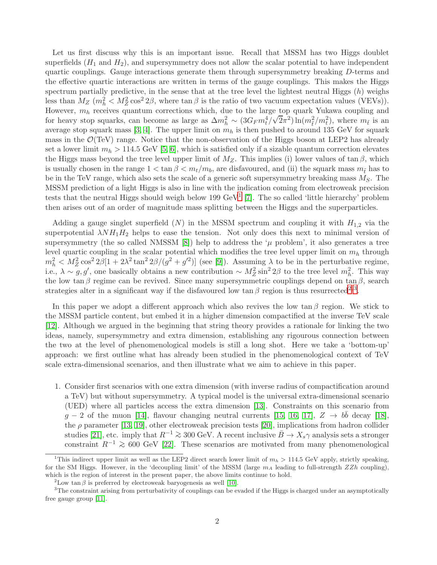Let us first discuss why this is an important issue. Recall that MSSM has two Higgs doublet superfields  $(H_1 \text{ and } H_2)$ , and supersymmetry does not allow the scalar potential to have independent quartic couplings. Gauge interactions generate them through supersymmetry breaking D-terms and the effective quartic interactions are written in terms of the gauge couplings. This makes the Higgs spectrum partially predictive, in the sense that at the tree level the lightest neutral Higgs  $(h)$  weighs less than  $M_Z$  ( $m_h^2 < M_Z^2 \cos^2 2\beta$ , where  $\tan \beta$  is the ratio of two vacuum expectation values (VEVs)). However,  $m_h$  receives quantum corrections which, due to the large top quark Yukawa coupling and for heavy stop squarks, can become as large as  $\Delta m_h^2 \sim (3G_F m_t^4/\sqrt{2\pi^2})\ln(m_t^2/m_t^2)$ , where  $m_{\tilde{t}}$  is an average stop squark mass [\[3,](#page-13-1) [4\]](#page-13-2). The upper limit on  $m_h$  is then pushed to around 135 GeV for squark mass in the  $\mathcal{O}(\text{TeV})$  range. Notice that the non-observation of the Higgs boson at LEP2 has already set a lower limit  $m_h > 114.5 \text{ GeV}$  [\[5,](#page-13-3) [6\]](#page-13-4), which is satisfied only if a sizable quantum correction elevates the Higgs mass beyond the tree level upper limit of  $M_Z$ . This implies (i) lower values of tan  $\beta$ , which is usually chosen in the range  $1 < \tan \beta < m_t/m_b$ , are disfavoured, and (ii) the squark mass  $m_{\tilde{t}}$  has to be in the TeV range, which also sets the scale of a generic soft supersymmetry breaking mass  $M<sub>S</sub>$ . The MSSM prediction of a light Higgs is also in line with the indication coming from electroweak precision tests that the neutral Higgs should weigh below [1](#page-1-0)99 GeV<sup>1</sup> [\[7\]](#page-13-5). The so called 'little hierarchy' problem then arises out of an order of magnitude mass splitting between the Higgs and the superparticles.

Adding a gauge singlet superfield  $(N)$  in the MSSM spectrum and coupling it with  $H_{1,2}$  via the superpotential  $\lambda NH_1H_2$  helps to ease the tension. Not only does this next to minimal version of supersymmetry (the so called NMSSM [\[8\]](#page-13-6)) help to address the  $\mu$  problem', it also generates a tree level quartic coupling in the scalar potential which modifies the tree level upper limit on  $m_h$  through  $m_h^2 < M_Z^2 \cos^2 2\beta [1 + 2\lambda^2 \tan^2 2\beta/(g^2 + g'^2)]$  (see [\[9\]](#page-13-7)). Assuming  $\lambda$  to be in the perturbative regime, i.e.,  $\lambda \sim g, g'$ , one basically obtains a new contribution  $\sim M_Z^2 \sin^2 2\beta$  to the tree level  $m_h^2$ . This way the low tan β regime can be revived. Since many supersymmetric couplings depend on tan β, search strategies alter in a significant way if the disfavoured low  $\tan \beta$  region is thus resurrected<sup>[2](#page-1-1),[3](#page-1-2)</sup>.

In this paper we adopt a different approach which also revives the low  $\tan \beta$  region. We stick to the MSSM particle content, but embed it in a higher dimension compactified at the inverse TeV scale [\[12\]](#page-13-8). Although we argued in the beginning that string theory provides a rationale for linking the two ideas, namely, supersymmetry and extra dimension, establishing any rigourous connection between the two at the level of phenomenological models is still a long shot. Here we take a 'bottom-up' approach: we first outline what has already been studied in the phenomenological context of TeV scale extra-dimensional scenarios, and then illustrate what we aim to achieve in this paper.

1. Consider first scenarios with one extra dimension (with inverse radius of compactification around a TeV) but without supersymmetry. A typical model is the universal extra-dimensional scenario (UED) where all particles access the extra dimension [\[13\]](#page-13-9). Constraints on this scenario from  $g - 2$  of the muon [\[14\]](#page-13-10), flavour changing neutral currents [\[15,](#page-13-11) [16,](#page-14-0) [17\]](#page-14-1),  $Z \rightarrow b\bar{b}$  decay [\[18\]](#page-14-2), the  $\rho$  parameter [\[13,](#page-13-9) [19\]](#page-14-3), other electroweak precision tests [\[20\]](#page-14-4), implications from hadron collider studies [\[21\]](#page-14-5), etc. imply that  $R^{-1} \geq 300$  GeV. A recent inclusive  $\bar{B} \to X_s \gamma$  analysis sets a stronger constraint  $R^{-1} \geq 600$  GeV [\[22\]](#page-14-6). These scenarios are motivated from many phenomenological

<span id="page-1-0"></span><sup>&</sup>lt;sup>1</sup>This indirect upper limit as well as the LEP2 direct search lower limit of  $m_h > 114.5$  GeV apply, strictly speaking, for the SM Higgs. However, in the 'decoupling limit' of the MSSM (large  $m_A$  leading to full-strength  $ZZh$  coupling), which is the region of interest in the present paper, the above limits continue to hold.

<span id="page-1-1"></span><sup>&</sup>lt;sup>2</sup>Low tan  $\beta$  is preferred by electroweak baryogenesis as well [\[10\]](#page-13-12).

<span id="page-1-2"></span><sup>&</sup>lt;sup>3</sup>The constraint arising from perturbativity of couplings can be evaded if the Higgs is charged under an asymptotically free gauge group [\[11\]](#page-13-13).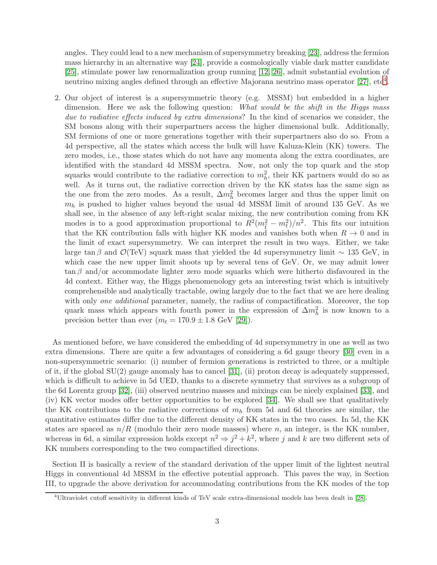angles. They could lead to a new mechanism of supersymmetry breaking [\[23\]](#page-14-7), address the fermion mass hierarchy in an alternative way [\[24\]](#page-14-8), provide a cosmologically viable dark matter candidate [\[25\]](#page-14-9), stimulate power law renormalization group running [\[12,](#page-13-8) [26\]](#page-14-10), admit substantial evolution of neutrino mixing angles defined through an effective Majorana neutrino mass operator [\[27\]](#page-14-11), etc<sup>[4](#page-2-0)</sup>.

2. Our object of interest is a supersymmetric theory (e.g. MSSM) but embedded in a higher dimension. Here we ask the following question: What would be the shift in the Higgs mass due to radiative effects induced by extra dimensions? In the kind of scenarios we consider, the SM bosons along with their superpartners access the higher dimensional bulk. Additionally, SM fermions of one or more generations together with their superpartners also do so. From a 4d perspective, all the states which access the bulk will have Kaluza-Klein (KK) towers. The zero modes, i.e., those states which do not have any momenta along the extra coordinates, are identified with the standard 4d MSSM spectra. Now, not only the top quark and the stop squarks would contribute to the radiative correction to  $m_h^2$ , their KK partners would do so as well. As it turns out, the radiative correction driven by the KK states has the same sign as the one from the zero modes. As a result,  $\Delta m_h^2$  becomes larger and thus the upper limit on  $m_h$  is pushed to higher values beyond the usual 4d MSSM limit of around 135 GeV. As we shall see, in the absence of any left-right scalar mixing, the new contribution coming from KK modes is to a good approximation proportional to  $R^2(m_{\tilde{t}}^2 - m_t^2)/n^2$ . This fits our intuition that the KK contribution falls with higher KK modes and vanishes both when  $R \to 0$  and in the limit of exact supersymmetry. We can interpret the result in two ways. Either, we take large tan β and  $\mathcal{O}(\text{TeV})$  squark mass that yielded the 4d supersymmetry limit ~ 135 GeV, in which case the new upper limit shoots up by several tens of GeV. Or, we may admit lower  $\tan \beta$  and/or accommodate lighter zero mode squarks which were hitherto disfavoured in the 4d context. Either way, the Higgs phenomenology gets an interesting twist which is intuitively comprehensible and analytically tractable, owing largely due to the fact that we are here dealing with only one additional parameter, namely, the radius of compactification. Moreover, the top quark mass which appears with fourth power in the expression of  $\Delta m_h^2$  is now known to a precision better than ever  $(m_t = 170.9 \pm 1.8 \text{ GeV} [29])$  $(m_t = 170.9 \pm 1.8 \text{ GeV} [29])$  $(m_t = 170.9 \pm 1.8 \text{ GeV} [29])$ .

As mentioned before, we have considered the embedding of 4d supersymmetry in one as well as two extra dimensions. There are quite a few advantages of considering a 6d gauge theory [\[30\]](#page-14-13) even in a non-supersymmetric scenario: (i) number of fermion generations is restricted to three, or a multiple of it, if the global  $SU(2)$  gauge anomaly has to cancel [\[31\]](#page-14-14), (ii) proton decay is adequately suppressed, which is difficult to achieve in 5d UED, thanks to a discrete symmetry that survives as a subgroup of the 6d Lorentz group [\[32\]](#page-14-15), (iii) observed neutrino masses and mixings can be nicely explained [\[33\]](#page-14-16), and (iv) KK vector modes offer better opportunities to be explored [\[34\]](#page-15-0). We shall see that qualitatively the KK contributions to the radiative corrections of  $m_h$  from 5d and 6d theories are similar, the quantitative estimates differ due to the different density of KK states in the two cases. In 5d, the KK states are spaced as  $n/R$  (modulo their zero mode masses) where n, an integer, is the KK number, whereas in 6d, a similar expression holds except  $n^2 \Rightarrow j^2 + k^2$ , where j and k are two different sets of KK numbers corresponding to the two compactified directions.

Section II is basically a review of the standard derivation of the upper limit of the lightest neutral Higgs in conventional 4d MSSM in the effective potential approach. This paves the way, in Section III, to upgrade the above derivation for accommodating contributions from the KK modes of the top

<span id="page-2-0"></span><sup>4</sup>Ultraviolet cutoff sensitivity in different kinds of TeV scale extra-dimensional models has been dealt in [\[28\]](#page-14-17).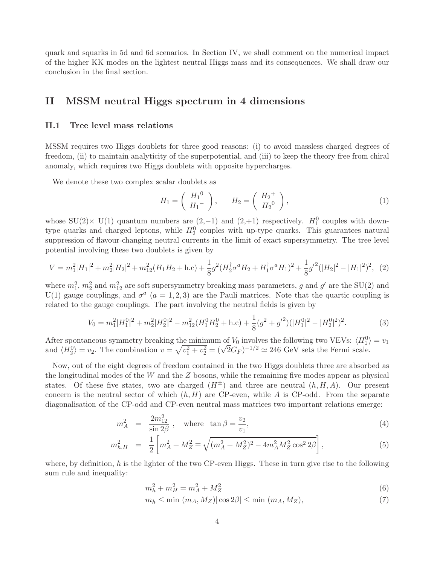quark and squarks in 5d and 6d scenarios. In Section IV, we shall comment on the numerical impact of the higher KK modes on the lightest neutral Higgs mass and its consequences. We shall draw our conclusion in the final section.

# II MSSM neutral Higgs spectrum in 4 dimensions

#### II.1 Tree level mass relations

MSSM requires two Higgs doublets for three good reasons: (i) to avoid massless charged degrees of freedom, (ii) to maintain analyticity of the superpotential, and (iii) to keep the theory free from chiral anomaly, which requires two Higgs doublets with opposite hypercharges.

We denote these two complex scalar doublets as

$$
H_1 = \left(\begin{array}{c} H_1^0 \\ H_1^- \end{array}\right), \qquad H_2 = \left(\begin{array}{c} H_2^+ \\ H_2^0 \end{array}\right), \tag{1}
$$

whose SU(2)× U(1) quantum numbers are  $(2,-1)$  and  $(2,+1)$  respectively.  $H_1^0$  couples with downtype quarks and charged leptons, while  $H_2^0$  couples with up-type quarks. This guarantees natural suppression of flavour-changing neutral currents in the limit of exact supersymmetry. The tree level potential involving these two doublets is given by

$$
V = m_1^2 |H_1|^2 + m_2^2 |H_2|^2 + m_{12}^2 (H_1 H_2 + \text{h.c}) + \frac{1}{8} g^2 (H_2^{\dagger} \sigma^a H_2 + H_1^{\dagger} \sigma^a H_1)^2 + \frac{1}{8} g'^2 (|H_2|^2 - |H_1|^2)^2, \tag{2}
$$

where  $m_1^2$ ,  $m_2^2$  and  $m_{12}^2$  are soft supersymmetry breaking mass parameters, g and g' are the SU(2) and U(1) gauge couplings, and  $\sigma^a$  ( $a = 1, 2, 3$ ) are the Pauli matrices. Note that the quartic coupling is related to the gauge couplings. The part involving the neutral fields is given by

$$
V_0 = m_1^2 |H_1^0|^2 + m_2^2 |H_2^0|^2 - m_{12}^2 (H_1^0 H_2^0 + \text{h.c}) + \frac{1}{8} (g^2 + g'^2)(|H_1^0|^2 - |H_2^0|^2)^2. \tag{3}
$$

After spontaneous symmetry breaking the minimum of  $V_0$  involves the following two VEVs:  $\langle H_1^0 \rangle = v_1$ and  $\langle H_2^0 \rangle = v_2$ . The combination  $v = \sqrt{v_1^2 + v_2^2} = (\sqrt{2}G_F)^{-1/2} \approx 246$  GeV sets the Fermi scale.

Now, out of the eight degrees of freedom contained in the two Higgs doublets three are absorbed as the longitudinal modes of the W and the Z bosons, while the remaining five modes appear as physical states. Of these five states, two are charged  $(H^{\pm})$  and three are neutral  $(h, H, A)$ . Our present concern is the neutral sector of which  $(h, H)$  are CP-even, while A is CP-odd. From the separate diagonalisation of the CP-odd and CP-even neutral mass matrices two important relations emerge:

$$
m_A^2 = \frac{2m_{12}^2}{\sin 2\beta}
$$
, where  $\tan \beta = \frac{v_2}{v_1}$ , (4)

$$
m_{h,H}^2 = \frac{1}{2} \left[ m_A^2 + M_Z^2 \mp \sqrt{(m_A^2 + M_Z^2)^2 - 4m_A^2 M_Z^2 \cos^2 2\beta} \right],\tag{5}
$$

where, by definition, h is the lighter of the two CP-even Higgs. These in turn give rise to the following sum rule and inequality:

$$
m_h^2 + m_H^2 = m_A^2 + M_Z^2 \tag{6}
$$

$$
m_h \le \min(m_A, M_Z) |\cos 2\beta| \le \min(m_A, M_Z),\tag{7}
$$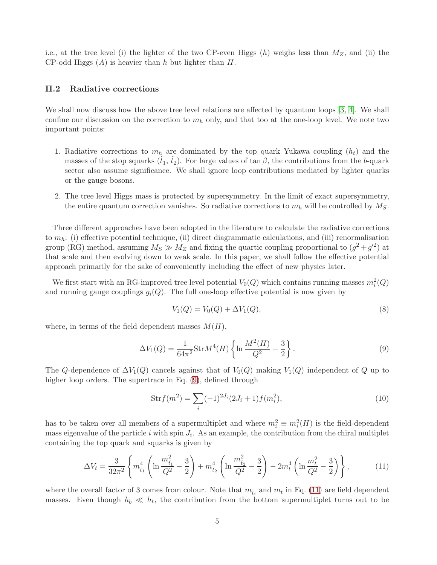i.e., at the tree level (i) the lighter of the two CP-even Higgs  $(h)$  weighs less than  $M_Z$ , and (ii) the CP-odd Higgs  $(A)$  is heavier than h but lighter than H.

### II.2 Radiative corrections

We shall now discuss how the above tree level relations are affected by quantum loops [\[3,](#page-13-1) [4\]](#page-13-2). We shall confine our discussion on the correction to  $m_h$  only, and that too at the one-loop level. We note two important points:

- 1. Radiative corrections to  $m_h$  are dominated by the top quark Yukawa coupling  $(h_t)$  and the masses of the stop squarks  $(t_1, t_2)$ . For large values of tan  $\beta$ , the contributions from the b-quark sector also assume significance. We shall ignore loop contributions mediated by lighter quarks or the gauge bosons.
- 2. The tree level Higgs mass is protected by supersymmetry. In the limit of exact supersymmetry, the entire quantum correction vanishes. So radiative corrections to  $m_h$  will be controlled by  $M_S$ .

Three different approaches have been adopted in the literature to calculate the radiative corrections to  $m_h$ : (i) effective potential technique, (ii) direct diagrammatic calculations, and (iii) renormalisation group (RG) method, assuming  $M_S \gg M_Z$  and fixing the quartic coupling proportional to  $(g^2 + g'^2)$  at that scale and then evolving down to weak scale. In this paper, we shall follow the effective potential approach primarily for the sake of conveniently including the effect of new physics later.

We first start with an RG-improved tree level potential  $V_0(Q)$  which contains running masses  $m_i^2(Q)$ and running gauge couplings  $g_i(Q)$ . The full one-loop effective potential is now given by

$$
V_1(Q) = V_0(Q) + \Delta V_1(Q), \tag{8}
$$

where, in terms of the field dependent masses  $M(H)$ ,

<span id="page-4-0"></span>
$$
\Delta V_1(Q) = \frac{1}{64\pi^2} \text{Str}M^4(H) \left\{ \ln \frac{M^2(H)}{Q^2} - \frac{3}{2} \right\}.
$$
 (9)

The Q-dependence of  $\Delta V_1(Q)$  cancels against that of  $V_0(Q)$  making  $V_1(Q)$  independent of Q up to higher loop orders. The supertrace in Eq.  $(9)$ , defined through

$$
Strf(m^2) = \sum_{i} (-1)^{2J_i} (2J_i + 1) f(m_i^2),
$$
\n(10)

has to be taken over all members of a supermultiplet and where  $m_i^2 \equiv m_i^2(H)$  is the field-dependent mass eigenvalue of the particle i with spin  $J_i$ . As an example, the contribution from the chiral multiplet containing the top quark and squarks is given by

<span id="page-4-1"></span>
$$
\Delta V_t = \frac{3}{32\pi^2} \left\{ m_{\tilde{t}_1}^4 \left( \ln \frac{m_{\tilde{t}_1}^2}{Q^2} - \frac{3}{2} \right) + m_{\tilde{t}_2}^4 \left( \ln \frac{m_{\tilde{t}_2}^2}{Q^2} - \frac{3}{2} \right) - 2m_t^4 \left( \ln \frac{m_t^2}{Q^2} - \frac{3}{2} \right) \right\},
$$
(11)

where the overall factor of 3 comes from colour. Note that  $m_{\tilde{t}_i}$  and  $m_t$  in Eq. [\(11\)](#page-4-1) are field dependent masses. Even though  $h_b \ll h_t$ , the contribution from the bottom supermultiplet turns out to be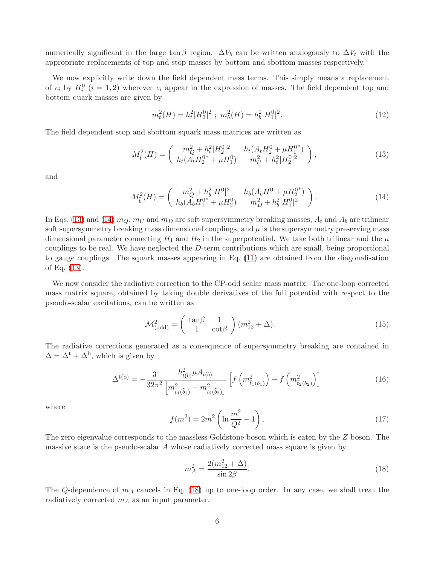numerically significant in the large tan β region.  $\Delta V_b$  can be written analogously to  $\Delta V_t$  with the appropriate replacements of top and stop masses by bottom and sbottom masses respectively.

We now explicitly write down the field dependent mass terms. This simply means a replacement of  $v_i$  by  $H_i^0$   $(i = 1, 2)$  wherever  $v_i$  appear in the expression of masses. The field dependent top and bottom quark masses are given by

<span id="page-5-3"></span>
$$
m_t^2(H) = h_t^2 |H_2^0|^2 \; ; \; m_b^2(H) = h_b^2 |H_1^0|^2. \tag{12}
$$

The field dependent stop and sbottom squark mass matrices are written as

<span id="page-5-0"></span>
$$
M_{\tilde{t}}^2(H) = \begin{pmatrix} m_Q^2 + h_t^2 |H_2^0|^2 & h_t(A_t H_2^0 + \mu H_1^{0^*}) \\ h_t(A_t H_2^{0^*} + \mu H_1^0) & m_U^2 + h_t^2 |H_2^0|^2 \end{pmatrix},
$$
\n(13)

and

<span id="page-5-1"></span>
$$
M_{\tilde{b}}^2(H) = \begin{pmatrix} m_Q^2 + h_b^2 |H_1^0|^2 & h_b(A_b H_1^0 + \mu H_2^{0^*}) \\ h_b(A_b H_1^{0^*} + \mu H_2^0) & m_D^2 + h_b^2 |H_1^0|^2 \end{pmatrix}.
$$
 (14)

In Eqs. [\(13\)](#page-5-0) and [\(14\)](#page-5-1)  $m_Q, m_U$  and  $m_D$  are soft supersymmetry breaking masses,  $A_t$  and  $A_b$  are trilinear soft supersymmetry breaking mass dimensional couplings, and  $\mu$  is the supersymmetry preserving mass dimensional parameter connecting  $H_1$  and  $H_2$  in the superpotential. We take both trilinear and the  $\mu$ couplings to be real. We have neglected the D-term contributions which are small, being proportional to gauge couplings. The squark masses appearing in Eq. [\(11\)](#page-4-1) are obtained from the diagonalisation of Eq. [\(13\)](#page-5-0).

We now consider the radiative correction to the CP-odd scalar mass matrix. The one-loop corrected mass matrix square, obtained by taking double derivatives of the full potential with respect to the pseudo-scalar excitations, can be written as

$$
\mathcal{M}_{(\text{odd})}^2 = \begin{pmatrix} \tan\beta & 1\\ 1 & \cot\beta \end{pmatrix} (m_{12}^2 + \Delta). \tag{15}
$$

The radiative corrections generated as a consequence of supersymmetry breaking are contained in  $\Delta = \Delta^{\rm t} + \Delta^{\rm b}$ , which is given by

$$
\Delta^{t(b)} = -\frac{3}{32\pi^2} \frac{h_{t(b)}^2 \mu A_{t(b)}}{\left[m_{\tilde{t}_1(\tilde{b}_1)}^2 - m_{\tilde{t}_2(\tilde{b}_2)}^2\right]} \left[f\left(m_{\tilde{t}_1(\tilde{b}_1)}^2\right) - f\left(m_{\tilde{t}_2(\tilde{b}_2)}^2\right)\right]
$$
(16)

where

$$
f(m^{2}) = 2m^{2} \left( \ln \frac{m^{2}}{Q^{2}} - 1 \right).
$$
 (17)

The zero eigenvalue corresponds to the massless Goldstone boson which is eaten by the Z boson. The massive state is the pseudo-scalar  $A$  whose radiatively corrected mass square is given by

<span id="page-5-2"></span>
$$
m_A^2 = \frac{2(m_{12}^2 + \Delta)}{\sin 2\beta}.
$$
\n(18)

The Q-dependence of  $m_A$  cancels in Eq. [\(18\)](#page-5-2) up to one-loop order. In any case, we shall treat the radiatively corrected  $m_A$  as an input parameter.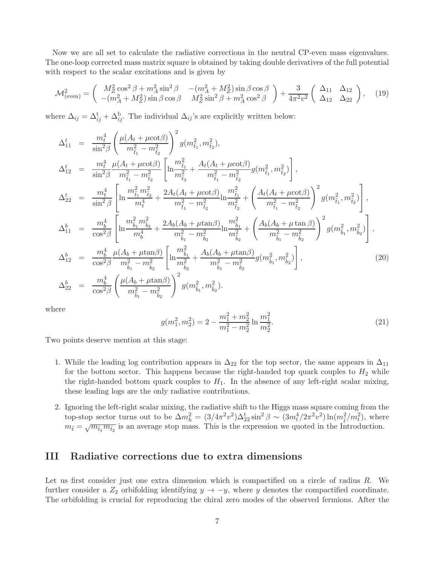Now we are all set to calculate the radiative corrections in the neutral CP-even mass eigenvalues. The one-loop corrected mass matrix square is obtained by taking double derivatives of the full potential with respect to the scalar excitations and is given by

<span id="page-6-1"></span>
$$
\mathcal{M}_{\text{(even)}}^2 = \begin{pmatrix} M_Z^2 \cos^2 \beta + m_A^2 \sin^2 \beta & -(m_A^2 + M_Z^2) \sin \beta \cos \beta \\ -(m_A^2 + M_Z^2) \sin \beta \cos \beta & M_Z^2 \sin^2 \beta + m_A^2 \cos^2 \beta \end{pmatrix} + \frac{3}{4\pi^2 v^2} \begin{pmatrix} \Delta_{11} & \Delta_{12} \\ \Delta_{12} & \Delta_{22} \end{pmatrix}, \quad (19)
$$

where  $\Delta_{ij} = \Delta_{ij}^{t} + \Delta_{ij}^{b}$ . The individual  $\Delta_{ij}$ 's are explicitly written below:

<span id="page-6-0"></span>
$$
\Delta_{11}^{t} = \frac{m_{t}^{4}}{\sin^{2}\beta} \left( \frac{\mu(A_{t} + \mu \cot \beta)}{m_{\tilde{t}_{1}}^{2} - m_{\tilde{t}_{2}}^{2}} \right)^{2} g(m_{\tilde{t}_{1}}^{2}, m_{\tilde{t}_{2}}^{2}),
$$
\n
$$
\Delta_{12}^{t} = \frac{m_{t}^{4}}{\sin^{2}\beta} \frac{\mu(A_{t} + \mu \cot \beta)}{m_{\tilde{t}_{1}}^{2} - m_{\tilde{t}_{2}}^{2}} \left[ \ln \frac{m_{\tilde{t}_{1}}^{2}}{m_{\tilde{t}_{2}}^{2}} + \frac{A_{t}(A_{t} + \mu \cot \beta)}{m_{\tilde{t}_{1}}^{2} - m_{\tilde{t}_{2}}^{2}} g(m_{\tilde{t}_{1}}^{2}, m_{\tilde{t}_{2}}^{2}) \right],
$$
\n
$$
\Delta_{22}^{t} = \frac{m_{t}^{4}}{\sin^{2}\beta} \left[ \ln \frac{m_{\tilde{t}_{1}}^{2} m_{\tilde{t}_{2}}^{2}}{m_{t}^{4}} + \frac{2A_{t}(A_{t} + \mu \cot \beta)}{m_{\tilde{t}_{1}}^{2} - m_{\tilde{t}_{2}}^{2}} \ln \frac{m_{\tilde{t}_{1}}^{2}}{m_{\tilde{t}_{2}}^{2}} + \left( \frac{A_{t}(A_{t} + \mu \cot \beta)}{m_{\tilde{t}_{1}}^{2} - m_{\tilde{t}_{2}}^{2}} \right)^{2} g(m_{\tilde{t}_{1}}^{2}, m_{\tilde{t}_{2}}^{2}) \right],
$$
\n
$$
\Delta_{11}^{b} = \frac{m_{b}^{4}}{\cos^{2}\beta} \left[ \ln \frac{m_{\tilde{b}_{1}}^{2} m_{\tilde{b}_{2}}^{2}}{m_{b}^{4}} + \frac{2A_{b}(A_{b} + \mu \tan \beta)}{m_{\tilde{t}_{1}}^{2} - m_{\tilde{t}_{2}}^{2}} \ln \frac{m_{\tilde{b}_{1}}^{2}}{m_{\tilde{t}_{2}}^{2}} + \left( \frac{A_{b}(A_{b} + \mu \tan \beta)}{m_{\tilde{t}_{1}}^{2} - m_{\tilde{t}_{2}}^{2}} \right)^{
$$

where

$$
g(m_1^2, m_2^2) = 2 - \frac{m_1^2 + m_2^2}{m_1^2 - m_2^2} \ln \frac{m_1^2}{m_2^2}.
$$
 (21)

Two points deserve mention at this stage:

- 1. While the leading log contribution appears in  $\Delta_{22}$  for the top sector, the same appears in  $\Delta_{11}$ for the bottom sector. This happens because the right-handed top quark couples to  $H_2$  while the right-handed bottom quark couples to  $H_1$ . In the absence of any left-right scalar mixing, these leading logs are the only radiative contributions.
- 2. Ignoring the left-right scalar mixing, the radiative shift to the Higgs mass square coming from the top-stop sector turns out to be  $\Delta m_h^2 = (3/4\pi^2 v^2) \Delta_{22}^t \sin^2 \beta \sim (3m_t^4/2\pi^2 v^2) \ln(m_{\tilde{t}}^2/m_t^2)$ , where  $m_{\tilde{t}} = \sqrt{m_{\tilde{t}_1} m_{\tilde{t}_2}}$  is an average stop mass. This is the expression we quoted in the Introduction.

# III Radiative corrections due to extra dimensions

Let us first consider just one extra dimension which is compactified on a circle of radius R. We further consider a  $Z_2$  orbifolding identifying  $y \to -y$ , where y denotes the compactified coordinate. The orbifolding is crucial for reproducing the chiral zero modes of the observed fermions. After the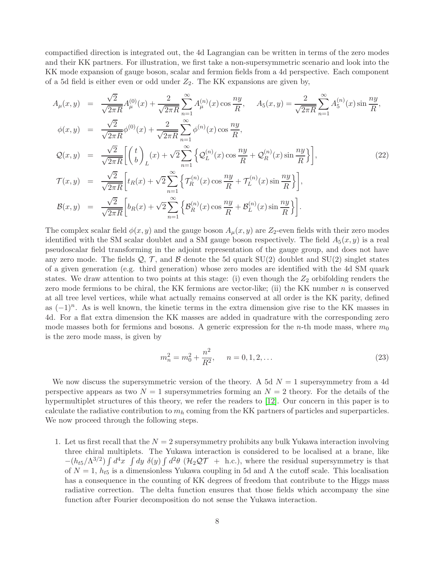compactified direction is integrated out, the 4d Lagrangian can be written in terms of the zero modes and their KK partners. For illustration, we first take a non-supersymmetric scenario and look into the KK mode expansion of gauge boson, scalar and fermion fields from a 4d perspective. Each component of a 5d field is either even or odd under  $Z_2$ . The KK expansions are given by,

<span id="page-7-0"></span>
$$
A_{\mu}(x,y) = \frac{\sqrt{2}}{\sqrt{2\pi R}} A_{\mu}^{(0)}(x) + \frac{2}{\sqrt{2\pi R}} \sum_{n=1}^{\infty} A_{\mu}^{(n)}(x) \cos \frac{ny}{R}, \quad A_{5}(x,y) = \frac{2}{\sqrt{2\pi R}} \sum_{n=1}^{\infty} A_{5}^{(n)}(x) \sin \frac{ny}{R},
$$
  
\n
$$
\phi(x,y) = \frac{\sqrt{2}}{\sqrt{2\pi R}} \phi^{(0)}(x) + \frac{2}{\sqrt{2\pi R}} \sum_{n=1}^{\infty} \phi^{(n)}(x) \cos \frac{ny}{R},
$$
  
\n
$$
Q(x,y) = \frac{\sqrt{2}}{\sqrt{2\pi R}} \left[ \binom{t}{b} (x) + \sqrt{2} \sum_{n=1}^{\infty} \left\{ Q_{L}^{(n)}(x) \cos \frac{ny}{R} + Q_{R}^{(n)}(x) \sin \frac{ny}{R} \right\} \right],
$$
  
\n
$$
T(x,y) = \frac{\sqrt{2}}{\sqrt{2\pi R}} \left[ t_{R}(x) + \sqrt{2} \sum_{n=1}^{\infty} \left\{ T_{R}^{(n)}(x) \cos \frac{ny}{R} + T_{L}^{(n)}(x) \sin \frac{ny}{R} \right\} \right],
$$
  
\n
$$
\mathcal{B}(x,y) = \frac{\sqrt{2}}{\sqrt{2\pi R}} \left[ b_{R}(x) + \sqrt{2} \sum_{n=1}^{\infty} \left\{ \mathcal{B}_{R}^{(n)}(x) \cos \frac{ny}{R} + \mathcal{B}_{L}^{(n)}(x) \sin \frac{ny}{R} \right\} \right].
$$
  
\n(22)

The complex scalar field  $\phi(x, y)$  and the gauge boson  $A_\mu(x, y)$  are  $Z_2$ -even fields with their zero modes identified with the SM scalar doublet and a SM gauge boson respectively. The field  $A_5(x, y)$  is a real pseudoscalar field transforming in the adjoint representation of the gauge group, and does not have any zero mode. The fields  $\mathcal{Q}, \mathcal{T}$ , and  $\mathcal{B}$  denote the 5d quark SU(2) doublet and SU(2) singlet states of a given generation (e.g. third generation) whose zero modes are identified with the 4d SM quark states. We draw attention to two points at this stage: (i) even though the  $Z_2$  orbifolding renders the zero mode fermions to be chiral, the KK fermions are vector-like; (ii) the KK number  $n$  is conserved at all tree level vertices, while what actually remains conserved at all order is the KK parity, defined as  $(-1)^n$ . As is well known, the kinetic terms in the extra dimension give rise to the KK masses in 4d. For a flat extra dimension the KK masses are added in quadrature with the corresponding zero mode masses both for fermions and bosons. A generic expression for the *n*-th mode mass, where  $m_0$ is the zero mode mass, is given by

$$
m_n^2 = m_0^2 + \frac{n^2}{R^2}, \qquad n = 0, 1, 2, \dots
$$
\n(23)

We now discuss the supersymmetric version of the theory. A 5d  $N = 1$  supersymmetry from a 4d perspective appears as two  $N = 1$  supersymmetries forming an  $N = 2$  theory. For the details of the hypermultiplet structures of this theory, we refer the readers to [\[12\]](#page-13-8). Our concern in this paper is to calculate the radiative contribution to  $m_h$  coming from the KK partners of particles and superparticles. We now proceed through the following steps.

1. Let us first recall that the  $N = 2$  supersymmetry prohibits any bulk Yukawa interaction involving three chiral multiplets. The Yukawa interaction is considered to be localised at a brane, like  $-(h_{t5}/\Lambda^{3/2})\int d^4x \int dy \delta(y)\int d^2\theta (\mathcal{H}_2\mathcal{Q}\mathcal{T} + \text{h.c.}),$  where the residual supersymmetry is that of  $N = 1$ ,  $h_{t5}$  is a dimensionless Yukawa coupling in 5d and  $\Lambda$  the cutoff scale. This localisation has a consequence in the counting of KK degrees of freedom that contribute to the Higgs mass radiative correction. The delta function ensures that those fields which accompany the sine function after Fourier decomposition do not sense the Yukawa interaction.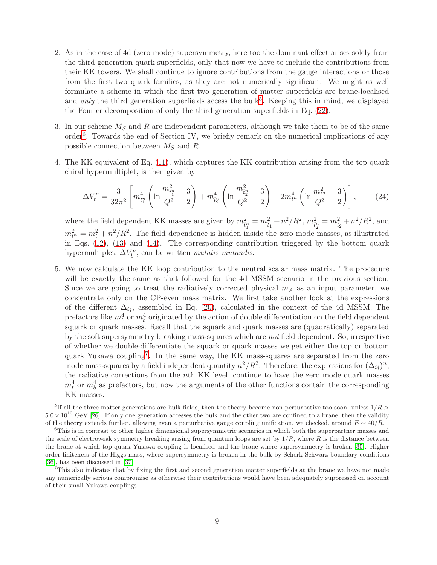- 2. As in the case of 4d (zero mode) supersymmetry, here too the dominant effect arises solely from the third generation quark superfields, only that now we have to include the contributions from their KK towers. We shall continue to ignore contributions from the gauge interactions or those from the first two quark families, as they are not numerically significant. We might as well formulate a scheme in which the first two generation of matter superfields are brane-localised and *only* the third generation superfields access the bulk<sup>[5](#page-8-0)</sup>. Keeping this in mind, we displayed the Fourier decomposition of only the third generation superfields in Eq. [\(22\)](#page-7-0).
- 3. In our scheme  $M<sub>S</sub>$  and R are independent parameters, although we take them to be of the same order<sup>[6](#page-8-1)</sup>. Towards the end of Section IV, we briefly remark on the numerical implications of any possible connection between  $M<sub>S</sub>$  and R.
- 4. The KK equivalent of Eq. [\(11\)](#page-4-1), which captures the KK contribution arising from the top quark chiral hypermultiplet, is then given by

<span id="page-8-3"></span>
$$
\Delta V_t^n = \frac{3}{32\pi^2} \left[ m_{\tilde{t}_1^n}^4 \left( \ln \frac{m_{\tilde{t}_1^n}^2}{Q^2} - \frac{3}{2} \right) + m_{\tilde{t}_2^n}^4 \left( \ln \frac{m_{\tilde{t}_2^n}^2}{Q^2} - \frac{3}{2} \right) - 2m_{t^n}^4 \left( \ln \frac{m_{t^n}^2}{Q^2} - \frac{3}{2} \right) \right],\tag{24}
$$

where the field dependent KK masses are given by  $m_{\tilde{t}_1^n}^2 = m_{\tilde{t}_1}^2 + n^2/R^2$ ,  $m_{\tilde{t}_2^n}^2 = m_{\tilde{t}_2}^2 + n^2/R^2$ , and  $m_{t}^{2} = m_{t}^{2} + n^{2}/R^{2}$ . The field dependence is hidden inside the zero mode masses, as illustrated in Eqs. [\(12\)](#page-5-3), [\(13\)](#page-5-0) and [\(14\)](#page-5-1). The corresponding contribution triggered by the bottom quark hypermultiplet,  $\Delta V_b^n$ , can be written *mutatis mutandis*.

5. We now calculate the KK loop contribution to the neutral scalar mass matrix. The procedure will be exactly the same as that followed for the 4d MSSM scenario in the previous section. Since we are going to treat the radiatively corrected physical  $m_A$  as an input parameter, we concentrate only on the CP-even mass matrix. We first take another look at the expressions of the different  $\Delta_{ij}$ , assembled in Eq. [\(20\)](#page-6-0), calculated in the context of the 4d MSSM. The prefactors like  $m_t^4$  or  $m_b^4$  originated by the action of double differentiation on the field dependent squark or quark masses. Recall that the squark and quark masses are (quadratically) separated by the soft supersymmetry breaking mass-squares which are not field dependent. So, irrespective of whether we double-differentiate the squark or quark masses we get either the top or bottom quark Yukawa coupling<sup>[7](#page-8-2)</sup>. In the same way, the KK mass-squares are separated from the zero mode mass-squares by a field independent quantity  $n^2/R^2$ . Therefore, the expressions for  $(\Delta_{ij})^n$ , the radiative corrections from the nth KK level, continue to have the zero mode quark masses  $m_t^4$  or  $m_b^4$  as prefactors, but now the arguments of the other functions contain the corresponding KK masses.

<span id="page-8-0"></span><sup>&</sup>lt;sup>5</sup>If all the three matter generations are bulk fields, then the theory become non-perturbative too soon, unless  $1/R >$  $5.0 \times 10^{10}$  GeV [\[26\]](#page-14-10). If only one generation accesses the bulk and the other two are confined to a brane, then the validity of the theory extends further, allowing even a perturbative gauge coupling unification, we checked, around  $E \sim 40/R$ .

<span id="page-8-1"></span><sup>&</sup>lt;sup>6</sup>This is in contrast to other higher dimensional supersymmetric scenarios in which both the superpartner masses and the scale of electroweak symmetry breaking arising from quantum loops are set by  $1/R$ , where R is the distance between the brane at which top quark Yukawa coupling is localised and the brane where supersymmetry is broken [\[35\]](#page-15-1). Higher order finiteness of the Higgs mass, where supersymmetry is broken in the bulk by Scherk-Schwarz boundary conditions [\[36\]](#page-15-2), has been discussed in [\[37\]](#page-15-3).

<span id="page-8-2"></span> $7$ This also indicates that by fixing the first and second generation matter superfields at the brane we have not made any numerically serious compromise as otherwise their contributions would have been adequately suppressed on account of their small Yukawa couplings.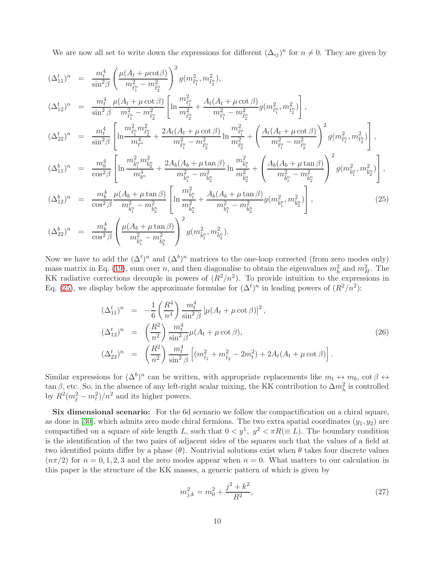We are now all set to write down the expressions for different  $(\Delta_{ij})^n$  for  $n \neq 0$ . They are given by

<span id="page-9-0"></span>
$$
(\Delta_{11}^{t})^{n} = \frac{m_{t}^{4}}{\sin^{2}\beta} \left( \frac{\mu(A_{t} + \mu \cot\beta)}{m_{\tilde{t}_{1}^{n}}^{2} - m_{\tilde{t}_{2}^{n}}^{2}} \right)^{2} g(m_{\tilde{t}_{1}^{n}}^{2}, m_{\tilde{t}_{2}^{n}}^{2}),
$$
\n
$$
(\Delta_{12}^{t})^{n} = \frac{m_{t}^{4}}{\sin^{2}\beta} \frac{\mu(A_{t} + \mu \cot\beta)}{m_{\tilde{t}_{1}^{n}}^{2} - m_{\tilde{t}_{2}^{n}}^{2}} \left[ \ln \frac{m_{\tilde{t}_{1}^{n}}^{2}}{m_{\tilde{t}_{2}^{n}}^{2} + \frac{A_{t}(A_{t} + \mu \cot\beta)}{m_{\tilde{t}_{1}^{n}}^{2} - m_{\tilde{t}_{2}^{n}}^{2}} g(m_{\tilde{t}_{1}^{n}}^{2}, m_{\tilde{t}_{2}^{n}}^{2}) \right],
$$
\n
$$
(\Delta_{22}^{t})^{n} = \frac{m_{t}^{4}}{\sin^{2}\beta} \left[ \ln \frac{m_{\tilde{t}_{1}^{n}}^{2} m_{\tilde{t}_{2}^{n}}^{2}}{m_{\tilde{t}_{1}^{n}}^{2} - m_{\tilde{t}_{2}^{n}}^{2}} + \frac{2A_{t}(A_{t} + \mu \cot\beta)}{m_{\tilde{t}_{1}^{n}}^{2} - m_{\tilde{t}_{2}^{n}}^{2}} \ln \frac{m_{\tilde{t}_{1}^{n}}^{2}}{m_{\tilde{t}_{1}^{n}}^{2} + \left( \frac{A_{t}(A_{t} + \mu \cot\beta)}{m_{\tilde{t}_{1}^{n}}^{2} - m_{\tilde{t}_{2}^{n}}^{2}} \right)^{2} g(m_{\tilde{t}_{1}^{n}}^{2}, m_{\tilde{t}_{2}^{n}}^{2}) \right],
$$
\n
$$
(\Delta_{11}^{b})^{n} = \frac{m_{b}^{4}}{\cos^{2}\beta} \left[ \ln \frac{m_{\tilde{b}_{1}^{n}}^{2} m_{\tilde{b}_{2}^{n}}^{2}}{m_{\tilde{b}_{1}^{n}}^{2} - m_{\tilde{b}_{2}^{n
$$

$$
(\Delta_{22}^b)^n = \frac{m_b^4}{\cos^2 \beta} \left( \frac{\mu(A_b + \mu \tan \beta)}{m_{\tilde{b}_1}^2 - m_{\tilde{b}_2}^2} \right)^2 g(m_{\tilde{b}_1}^2, m_{\tilde{b}_2}^2).
$$

Now we have to add the  $(\Delta^t)^n$  and  $(\Delta^b)^n$  matrices to the one-loop corrected (from zero modes only) mass matrix in Eq. [\(19\)](#page-6-1), sum over *n*, and then diagonalise to obtain the eigenvalues  $m_h^2$  and  $m_H^2$ . The KK radiative corrections decouple in powers of  $(R^2/n^2)$ . To provide intuition to the expressions in Eq. [\(25\)](#page-9-0), we display below the approximate formulae for  $(\Delta^t)^n$  in leading powers of  $(R^2/n^2)$ :

$$
(\Delta_{11}^t)^n = -\frac{1}{6} \left( \frac{R^4}{n^4} \right) \frac{m_t^4}{\sin^2 \beta} \left[ \mu (A_t + \mu \cot \beta) \right]^2,
$$
  
\n
$$
(\Delta_{12}^t)^n = \left( \frac{R^2}{n^2} \right) \frac{m_t^4}{\sin^2 \beta} \mu (A_t + \mu \cot \beta),
$$
  
\n
$$
(\Delta_{22}^t)^n = \left( \frac{R^2}{n^2} \right) \frac{m_t^4}{\sin^2 \beta} \left[ (m_{\tilde{t}_1}^2 + m_{\tilde{t}_2}^2 - 2m_t^2) + 2A_t (A_t + \mu \cot \beta) \right].
$$
\n(26)

Similar expressions for  $(\Delta^b)^n$  can be written, with appropriate replacements like  $m_t \leftrightarrow m_b$ , cot  $\beta \leftrightarrow$  $\tan \beta$ , etc. So, in the absence of any left-right scalar mixing, the KK contribution to  $\Delta m_h^2$  is controlled by  $R^2(m_{\tilde{t}}^2 - m_t^2)/n^2$  and its higher powers.

Six dimensional scenario: For the 6d scenario we follow the compactification on a chiral square, as done in [\[30\]](#page-14-13), which admits zero mode chiral fermions. The two extra spatial coordinates  $(y_1, y_2)$  are compactified on a square of side length L, such that  $0 < y^1$ ,  $y^2 < \pi R (\equiv L)$ . The boundary condition is the identification of the two pairs of adjacent sides of the squares such that the values of a field at two identified points differ by a phase  $(\theta)$ . Nontrivial solutions exist when  $\theta$  takes four discrete values  $(n\pi/2)$  for  $n = 0, 1, 2, 3$  and the zero modes appear when  $n = 0$ . What matters to our calculation in this paper is the structure of the KK masses, a generic pattern of which is given by

$$
m_{j,k}^2 = m_0^2 + \frac{j^2 + k^2}{R^2},\tag{27}
$$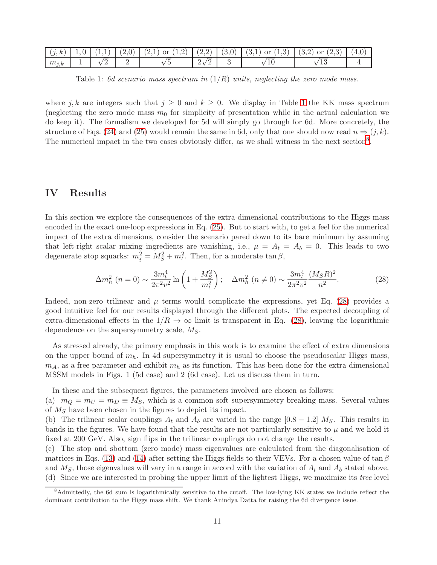| (i,k)     |  |  |                           |  | $\mid 1,0 \mid (1,1) \mid (2,0) \mid (2,1)$ or $(1,2) \mid (2,2) \mid (3,0) \mid (3,1)$ or $(1,3) \mid (3,2)$ or $(2,3) \mid (4,0)$ |  |
|-----------|--|--|---------------------------|--|-------------------------------------------------------------------------------------------------------------------------------------|--|
| $m_{j,k}$ |  |  | $\sqrt{2}$<br>$2\sqrt{ }$ |  | 10                                                                                                                                  |  |

<span id="page-10-0"></span>Table 1: 6d scenario mass spectrum in  $(1/R)$  units, neglecting the zero mode mass.

where j, k are integers such that  $j \geq 0$  and  $k \geq 0$ . We display in Table [1](#page-10-0) the KK mass spectrum (neglecting the zero mode mass  $m_0$  for simplicity of presentation while in the actual calculation we do keep it). The formalism we developed for 5d will simply go through for 6d. More concretely, the structure of Eqs. [\(24\)](#page-8-3) and [\(25\)](#page-9-0) would remain the same in 6d, only that one should now read  $n \Rightarrow (j, k)$ . The numerical impact in the two cases obviously differ, as we shall witness in the next section<sup>[8](#page-10-1)</sup>.

### IV Results

In this section we explore the consequences of the extra-dimensional contributions to the Higgs mass encoded in the exact one-loop expressions in Eq. [\(25\)](#page-9-0). But to start with, to get a feel for the numerical impact of the extra dimensions, consider the scenario pared down to its bare minimum by assuming that left-right scalar mixing ingredients are vanishing, i.e.,  $\mu = A_t = A_b = 0$ . This leads to two degenerate stop squarks:  $m_{\tilde{t}}^2 = M_S^2 + m_t^2$ . Then, for a moderate  $\tan \beta$ ,

<span id="page-10-2"></span>
$$
\Delta m_h^2 \ (n=0) \sim \frac{3m_t^4}{2\pi^2 v^2} \ln\left(1 + \frac{M_S^2}{m_t^2}\right); \quad \Delta m_h^2 \ (n \neq 0) \sim \frac{3m_t^4}{2\pi^2 v^2} \frac{(M_S R)^2}{n^2}.
$$
 (28)

Indeed, non-zero trilinear and  $\mu$  terms would complicate the expressions, yet Eq. [\(28\)](#page-10-2) provides a good intuitive feel for our results displayed through the different plots. The expected decoupling of extra-dimensional effects in the  $1/R \to \infty$  limit is transparent in Eq. [\(28\)](#page-10-2), leaving the logarithmic dependence on the supersymmetry scale,  $M_S$ .

As stressed already, the primary emphasis in this work is to examine the effect of extra dimensions on the upper bound of  $m_h$ . In 4d supersymmetry it is usual to choose the pseudoscalar Higgs mass,  $m_A$ , as a free parameter and exhibit  $m_h$  as its function. This has been done for the extra-dimensional MSSM models in Figs. 1 (5d case) and 2 (6d case). Let us discuss them in turn.

In these and the subsequent figures, the parameters involved are chosen as follows:

(a)  $m_Q = m_U = m_D \equiv M_S$ , which is a common soft supersymmetry breaking mass. Several values of  $M<sub>S</sub>$  have been chosen in the figures to depict its impact.

(b) The trilinear scalar couplings  $A_t$  and  $A_b$  are varied in the range  $[0.8 - 1.2]$   $M_s$ . This results in bands in the figures. We have found that the results are not particularly sensitive to  $\mu$  and we hold it fixed at 200 GeV. Also, sign flips in the trilinear couplings do not change the results.

(c) The stop and sbottom (zero mode) mass eigenvalues are calculated from the diagonalisation of matrices in Eqs. [\(13\)](#page-5-0) and [\(14\)](#page-5-1) after setting the Higgs fields to their VEVs. For a chosen value of tan  $\beta$ and  $M<sub>S</sub>$ , those eigenvalues will vary in a range in accord with the variation of  $A<sub>t</sub>$  and  $A<sub>b</sub>$  stated above. (d) Since we are interested in probing the upper limit of the lightest Higgs, we maximize its tree level

<span id="page-10-1"></span><sup>8</sup>Admittedly, the 6d sum is logarithmically sensitive to the cutoff. The low-lying KK states we include reflect the dominant contribution to the Higgs mass shift. We thank Anindya Datta for raising the 6d divergence issue.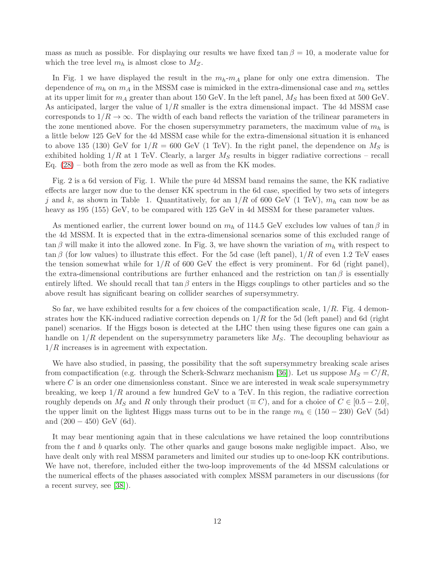mass as much as possible. For displaying our results we have fixed  $\tan \beta = 10$ , a moderate value for which the tree level  $m_h$  is almost close to  $M_Z$ .

In Fig. 1 we have displayed the result in the  $m_h-m_A$  plane for only one extra dimension. The dependence of  $m_h$  on  $m_A$  in the MSSM case is mimicked in the extra-dimensional case and  $m_h$  settles at its upper limit for  $m_A$  greater than about 150 GeV. In the left panel,  $M_S$  has been fixed at 500 GeV. As anticipated, larger the value of  $1/R$  smaller is the extra dimensional impact. The 4d MSSM case corresponds to  $1/R \to \infty$ . The width of each band reflects the variation of the trilinear parameters in the zone mentioned above. For the chosen supersymmetry parameters, the maximum value of  $m_h$  is a little below 125 GeV for the 4d MSSM case while for the extra-dimensional situation it is enhanced to above 135 (130) GeV for  $1/R = 600$  GeV (1 TeV). In the right panel, the dependence on  $M<sub>S</sub>$  is exhibited holding  $1/R$  at 1 TeV. Clearly, a larger  $M<sub>S</sub>$  results in bigger radiative corrections – recall Eq.  $(28)$  – both from the zero mode as well as from the KK modes.

Fig. 2 is a 6d version of Fig. 1. While the pure 4d MSSM band remains the same, the KK radiative effects are larger now due to the denser KK spectrum in the 6d case, specified by two sets of integers j and k, as shown in Table 1. Quantitatively, for an  $1/R$  of 600 GeV (1 TeV),  $m_h$  can now be as heavy as 195 (155) GeV, to be compared with 125 GeV in 4d MSSM for these parameter values.

As mentioned earlier, the current lower bound on  $m_h$  of 114.5 GeV excludes low values of  $\tan \beta$  in the 4d MSSM. It is expected that in the extra-dimensional scenarios some of this excluded range of  $\tan \beta$  will make it into the allowed zone. In Fig. 3, we have shown the variation of  $m_h$  with respect to  $\tan \beta$  (for low values) to illustrate this effect. For the 5d case (left panel),  $1/R$  of even 1.2 TeV eases the tension somewhat while for  $1/R$  of 600 GeV the effect is very prominent. For 6d (right panel), the extra-dimensional contributions are further enhanced and the restriction on tan  $\beta$  is essentially entirely lifted. We should recall that  $\tan \beta$  enters in the Higgs couplings to other particles and so the above result has significant bearing on collider searches of supersymmetry.

So far, we have exhibited results for a few choices of the compactification scale,  $1/R$ . Fig. 4 demonstrates how the KK-induced radiative correction depends on  $1/R$  for the 5d (left panel) and 6d (right panel) scenarios. If the Higgs boson is detected at the LHC then using these figures one can gain a handle on  $1/R$  dependent on the supersymmetry parameters like  $M_S$ . The decoupling behaviour as  $1/R$  increases is in agreement with expectation.

We have also studied, in passing, the possibility that the soft supersymmetry breaking scale arises from compactification (e.g. through the Scherk-Schwarz mechanism [\[36\]](#page-15-2)). Let us suppose  $M_S = C/R$ , where  $C$  is an order one dimensionless constant. Since we are interested in weak scale supersymmetry breaking, we keep  $1/R$  around a few hundred GeV to a TeV. In this region, the radiative correction roughly depends on  $M_S$  and R only through their product ( $\equiv C$ ), and for a choice of  $C \in [0.5 - 2.0]$ , the upper limit on the lightest Higgs mass turns out to be in the range  $m_h \in (150 - 230)$  GeV (5d) and  $(200 - 450)$  GeV  $(6d)$ .

It may bear mentioning again that in these calculations we have retained the loop conntributions from the  $t$  and  $b$  quarks only. The other quarks and gauge bosons make negligible impact. Also, we have dealt only with real MSSM parameters and limited our studies up to one-loop KK contributions. We have not, therefore, included either the two-loop improvements of the 4d MSSM calculations or the numerical effects of the phases associated with complex MSSM parameters in our discussions (for a recent survey, see [\[38\]](#page-15-4)).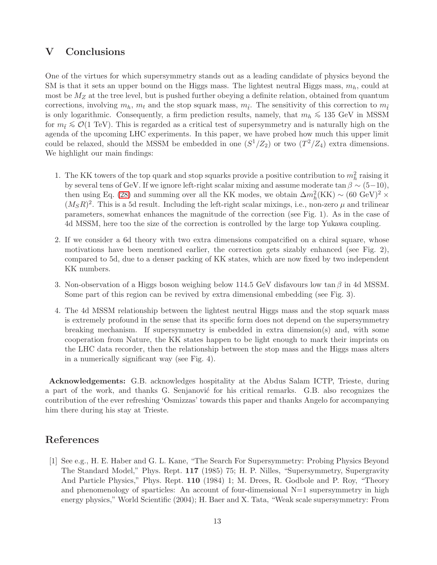### V Conclusions

One of the virtues for which supersymmetry stands out as a leading candidate of physics beyond the SM is that it sets an upper bound on the Higgs mass. The lightest neutral Higgs mass,  $m_h$ , could at most be  $M_Z$  at the tree level, but is pushed further obeying a definite relation, obtained from quantum corrections, involving  $m_h$ ,  $m_t$  and the stop squark mass,  $m_{\tilde{t}}$ . The sensitivity of this correction to  $m_{\tilde{t}}$ is only logarithmic. Consequently, a firm prediction results, namely, that  $m_h \le 135$  GeV in MSSM for  $m_i \leqslant \mathcal{O}(1 \text{ TeV})$ . This is regarded as a critical test of supersymmetry and is naturally high on the agenda of the upcoming LHC experiments. In this paper, we have probed how much this upper limit could be relaxed, should the MSSM be embedded in one  $(S^1/Z_2)$  or two  $(T^2/Z_4)$  extra dimensions. We highlight our main findings:

- 1. The KK towers of the top quark and stop squarks provide a positive contribution to  $m_h^2$  raising it by several tens of GeV. If we ignore left-right scalar mixing and assume moderate tan  $\beta \sim (5-10)$ , then using Eq. [\(28\)](#page-10-2) and summing over all the KK modes, we obtain  $\Delta m_h^2 (KK) \sim (60 \text{ GeV})^2 \times$  $(M<sub>S</sub>R)<sup>2</sup>$ . This is a 5d result. Including the left-right scalar mixings, i.e., non-zero  $\mu$  and trilinear parameters, somewhat enhances the magnitude of the correction (see Fig. 1). As in the case of 4d MSSM, here too the size of the correction is controlled by the large top Yukawa coupling.
- 2. If we consider a 6d theory with two extra dimensions compatcified on a chiral square, whose motivations have been mentioned earlier, the correction gets sizably enhanced (see Fig. 2), compared to 5d, due to a denser packing of KK states, which are now fixed by two independent KK numbers.
- 3. Non-observation of a Higgs boson weighing below 114.5 GeV disfavours low tan  $\beta$  in 4d MSSM. Some part of this region can be revived by extra dimensional embedding (see Fig. 3).
- 4. The 4d MSSM relationship between the lightest neutral Higgs mass and the stop squark mass is extremely profound in the sense that its specific form does not depend on the supersymmetry breaking mechanism. If supersymmetry is embedded in extra dimension(s) and, with some cooperation from Nature, the KK states happen to be light enough to mark their imprints on the LHC data recorder, then the relationship between the stop mass and the Higgs mass alters in a numerically significant way (see Fig. 4).

Acknowledgements: G.B. acknowledges hospitality at the Abdus Salam ICTP, Trieste, during a part of the work, and thanks G. Senjanovic for his critical remarks. G.B. also recognizes the contribution of the ever refreshing 'Osmizzas' towards this paper and thanks Angelo for accompanying him there during his stay at Trieste.

# <span id="page-12-0"></span>References

[1] See e.g., H. E. Haber and G. L. Kane, "The Search For Supersymmetry: Probing Physics Beyond The Standard Model," Phys. Rept. 117 (1985) 75; H. P. Nilles, "Supersymmetry, Supergravity And Particle Physics," Phys. Rept. 110 (1984) 1; M. Drees, R. Godbole and P. Roy, "Theory and phenomenology of sparticles: An account of four-dimensional  $N=1$  supersymmetry in high energy physics," World Scientific (2004); H. Baer and X. Tata, "Weak scale supersymmetry: From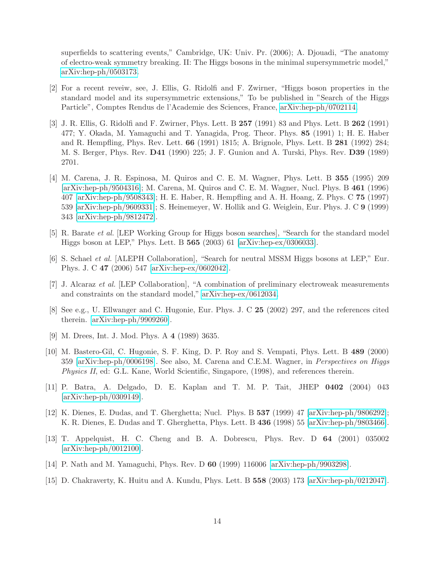superfields to scattering events," Cambridge, UK: Univ. Pr. (2006); A. Djouadi, "The anatomy of electro-weak symmetry breaking. II: The Higgs bosons in the minimal supersymmetric model," [arXiv:hep-ph/0503173.](http://arxiv.org/abs/hep-ph/0503173)

- <span id="page-13-0"></span>[2] For a recent reveiw, see, J. Ellis, G. Ridolfi and F. Zwirner, "Higgs boson properties in the standard model and its supersymmetric extensions," To be published in "Search of the Higgs Particle", Comptes Rendus de l'Academie des Sciences, France, [arXiv:hep-ph/0702114.](http://arxiv.org/abs/hep-ph/0702114)
- <span id="page-13-1"></span>[3] J. R. Ellis, G. Ridolfi and F. Zwirner, Phys. Lett. B 257 (1991) 83 and Phys. Lett. B 262 (1991) 477; Y. Okada, M. Yamaguchi and T. Yanagida, Prog. Theor. Phys. 85 (1991) 1; H. E. Haber and R. Hempfling, Phys. Rev. Lett. 66 (1991) 1815; A. Brignole, Phys. Lett. B 281 (1992) 284; M. S. Berger, Phys. Rev. D41 (1990) 225; J. F. Gunion and A. Turski, Phys. Rev. D39 (1989) 2701.
- <span id="page-13-2"></span>[4] M. Carena, J. R. Espinosa, M. Quiros and C. E. M. Wagner, Phys. Lett. B 355 (1995) 209 [\[arXiv:hep-ph/9504316\]](http://arxiv.org/abs/hep-ph/9504316); M. Carena, M. Quiros and C. E. M. Wagner, Nucl. Phys. B 461 (1996) 407 [\[arXiv:hep-ph/9508343\]](http://arxiv.org/abs/hep-ph/9508343); H. E. Haber, R. Hempfling and A. H. Hoang, Z. Phys. C 75 (1997) 539 [\[arXiv:hep-ph/9609331\]](http://arxiv.org/abs/hep-ph/9609331); S. Heinemeyer, W. Hollik and G. Weiglein, Eur. Phys. J. C 9 (1999) 343 [\[arXiv:hep-ph/9812472\]](http://arxiv.org/abs/hep-ph/9812472).
- <span id="page-13-4"></span><span id="page-13-3"></span>[5] R. Barate et al. [LEP Working Group for Higgs boson searches], "Search for the standard model Higgs boson at LEP," Phys. Lett. B 565 (2003) 61 [\[arXiv:hep-ex/0306033\]](http://arxiv.org/abs/hep-ex/0306033).
- <span id="page-13-5"></span>[6] S. Schael et al. [ALEPH Collaboration], "Search for neutral MSSM Higgs bosons at LEP," Eur. Phys. J. C 47 (2006) 547 [\[arXiv:hep-ex/0602042\]](http://arxiv.org/abs/hep-ex/0602042).
- [7] J. Alcaraz et al. [LEP Collaboration], "A combination of preliminary electroweak measurements and constraints on the standard model," [arXiv:hep-ex/0612034.](http://arxiv.org/abs/hep-ex/0612034)
- <span id="page-13-6"></span>[8] See e.g., U. Ellwanger and C. Hugonie, Eur. Phys. J. C 25 (2002) 297, and the references cited therein. [\[arXiv:hep-ph/9909260\]](http://arxiv.org/abs/hep-ph/9909260).
- <span id="page-13-12"></span><span id="page-13-7"></span>[9] M. Drees, Int. J. Mod. Phys. A 4 (1989) 3635.
- [10] M. Bastero-Gil, C. Hugonie, S. F. King, D. P. Roy and S. Vempati, Phys. Lett. B 489 (2000) 359 [\[arXiv:hep-ph/0006198\]](http://arxiv.org/abs/hep-ph/0006198). See also, M. Carena and C.E.M. Wagner, in Perspectives on Higgs Physics II, ed: G.L. Kane, World Scientific, Singapore, (1998), and references therein.
- <span id="page-13-13"></span>[11] P. Batra, A. Delgado, D. E. Kaplan and T. M. P. Tait, JHEP 0402 (2004) 043 [\[arXiv:hep-ph/0309149\]](http://arxiv.org/abs/hep-ph/0309149).
- <span id="page-13-8"></span>[12] K. Dienes, E. Dudas, and T. Gherghetta; Nucl. Phys. B 537 (1999) 47 [\[arXiv:hep-ph/9806292\]](http://arxiv.org/abs/hep-ph/9806292); K. R. Dienes, E. Dudas and T. Gherghetta, Phys. Lett. B 436 (1998) 55 [\[arXiv:hep-ph/9803466\]](http://arxiv.org/abs/hep-ph/9803466).
- <span id="page-13-9"></span>[13] T. Appelquist, H. C. Cheng and B. A. Dobrescu, Phys. Rev. D 64 (2001) 035002 [\[arXiv:hep-ph/0012100\]](http://arxiv.org/abs/hep-ph/0012100).
- <span id="page-13-11"></span><span id="page-13-10"></span>[14] P. Nath and M. Yamaguchi, Phys. Rev. D 60 (1999) 116006 [\[arXiv:hep-ph/9903298\]](http://arxiv.org/abs/hep-ph/9903298).
- [15] D. Chakraverty, K. Huitu and A. Kundu, Phys. Lett. B 558 (2003) 173 [\[arXiv:hep-ph/0212047\]](http://arxiv.org/abs/hep-ph/0212047).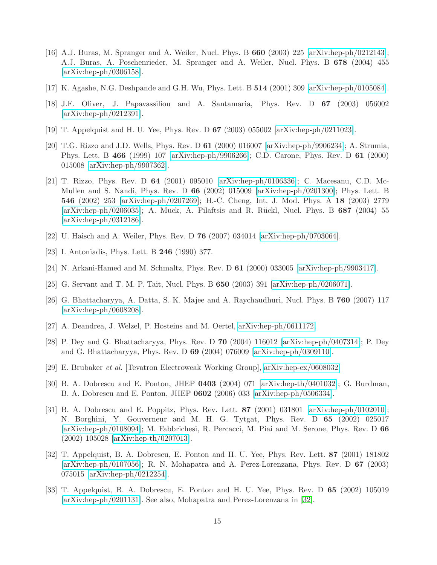- <span id="page-14-0"></span>[16] A.J. Buras, M. Spranger and A. Weiler, Nucl. Phys. B  $660$  (2003) 225 [\[arXiv:hep-ph/0212143\]](http://arxiv.org/abs/hep-ph/0212143); A.J. Buras, A. Poschenrieder, M. Spranger and A. Weiler, Nucl. Phys. B 678 (2004) 455 [\[arXiv:hep-ph/0306158\]](http://arxiv.org/abs/hep-ph/0306158).
- <span id="page-14-2"></span><span id="page-14-1"></span>[17] K. Agashe, N.G. Deshpande and G.H. Wu, Phys. Lett. B 514 (2001) 309 [\[arXiv:hep-ph/0105084\]](http://arxiv.org/abs/hep-ph/0105084).
- <span id="page-14-3"></span>[18] J.F. Oliver, J. Papavassiliou and A. Santamaria, Phys. Rev. D 67 (2003) 056002 [\[arXiv:hep-ph/0212391\]](http://arxiv.org/abs/hep-ph/0212391).
- <span id="page-14-4"></span>[19] T. Appelquist and H. U. Yee, Phys. Rev. D 67 (2003) 055002 [\[arXiv:hep-ph/0211023\]](http://arxiv.org/abs/hep-ph/0211023).
- [20] T.G. Rizzo and J.D. Wells, Phys. Rev. D 61 (2000) 016007 [\[arXiv:hep-ph/9906234\]](http://arxiv.org/abs/hep-ph/9906234); A. Strumia, Phys. Lett. B 466 (1999) 107 [\[arXiv:hep-ph/9906266\]](http://arxiv.org/abs/hep-ph/9906266); C.D. Carone, Phys. Rev. D 61 (2000) 015008 [\[arXiv:hep-ph/9907362\]](http://arxiv.org/abs/hep-ph/9907362).
- <span id="page-14-5"></span>[21] T. Rizzo, Phys. Rev. D 64 (2001) 095010 [\[arXiv:hep-ph/0106336\]](http://arxiv.org/abs/hep-ph/0106336); C. Macesanu, C.D. Mc-Mullen and S. Nandi, Phys. Rev. D 66 (2002) 015009 [\[arXiv:hep-ph/0201300\]](http://arxiv.org/abs/hep-ph/0201300); Phys. Lett. B 546 (2002) 253 [\[arXiv:hep-ph/0207269\]](http://arxiv.org/abs/hep-ph/0207269); H.-C. Cheng, Int. J. Mod. Phys. A 18 (2003) 2779  $[\text{arXiv:hep-ph}/0206035]$ ; A. Muck, A. Pilaftsis and R. Rückl, Nucl. Phys. B 687 (2004) 55 [\[arXiv:hep-ph/0312186\]](http://arxiv.org/abs/hep-ph/0312186).
- <span id="page-14-7"></span><span id="page-14-6"></span>[22] U. Haisch and A. Weiler, Phys. Rev. D 76 (2007) 034014 [\[arXiv:hep-ph/0703064\]](http://arxiv.org/abs/hep-ph/0703064).
- <span id="page-14-8"></span>[23] I. Antoniadis, Phys. Lett. B 246 (1990) 377.
- <span id="page-14-9"></span>[24] N. Arkani-Hamed and M. Schmaltz, Phys. Rev. D 61 (2000) 033005 [\[arXiv:hep-ph/9903417\]](http://arxiv.org/abs/hep-ph/9903417).
- <span id="page-14-10"></span>[25] G. Servant and T. M. P. Tait, Nucl. Phys. B 650 (2003) 391 [\[arXiv:hep-ph/0206071\]](http://arxiv.org/abs/hep-ph/0206071).
- [26] G. Bhattacharyya, A. Datta, S. K. Majee and A. Raychaudhuri, Nucl. Phys. B 760 (2007) 117 [\[arXiv:hep-ph/0608208\]](http://arxiv.org/abs/hep-ph/0608208).
- <span id="page-14-17"></span><span id="page-14-11"></span>[27] A. Deandrea, J. Welzel, P. Hosteins and M. Oertel, [arXiv:hep-ph/0611172.](http://arxiv.org/abs/hep-ph/0611172)
- [28] P. Dey and G. Bhattacharyya, Phys. Rev. D 70 (2004) 116012 [\[arXiv:hep-ph/0407314\]](http://arxiv.org/abs/hep-ph/0407314); P. Dey and G. Bhattacharyya, Phys. Rev. D 69 (2004) 076009 [\[arXiv:hep-ph/0309110\]](http://arxiv.org/abs/hep-ph/0309110).
- <span id="page-14-13"></span><span id="page-14-12"></span>[29] E. Brubaker et al. [Tevatron Electroweak Working Group], [arXiv:hep-ex/0608032.](http://arxiv.org/abs/hep-ex/0608032)
- [30] B. A. Dobrescu and E. Ponton, JHEP 0403 (2004) 071 [\[arXiv:hep-th/0401032\]](http://arxiv.org/abs/hep-th/0401032); G. Burdman, B. A. Dobrescu and E. Ponton, JHEP 0602 (2006) 033 [\[arXiv:hep-ph/0506334\]](http://arxiv.org/abs/hep-ph/0506334).
- <span id="page-14-14"></span>[31] B. A. Dobrescu and E. Poppitz, Phys. Rev. Lett. 87 (2001) 031801 [\[arXiv:hep-ph/0102010\]](http://arxiv.org/abs/hep-ph/0102010); N. Borghini, Y. Gouverneur and M. H. G. Tytgat, Phys. Rev. D 65 (2002) 025017 [\[arXiv:hep-ph/0108094\]](http://arxiv.org/abs/hep-ph/0108094); M. Fabbrichesi, R. Percacci, M. Piai and M. Serone, Phys. Rev. D 66 (2002) 105028 [\[arXiv:hep-th/0207013\]](http://arxiv.org/abs/hep-th/0207013).
- <span id="page-14-15"></span>[32] T. Appelquist, B. A. Dobrescu, E. Ponton and H. U. Yee, Phys. Rev. Lett. 87 (2001) 181802 [\[arXiv:hep-ph/0107056\]](http://arxiv.org/abs/hep-ph/0107056); R. N. Mohapatra and A. Perez-Lorenzana, Phys. Rev. D 67 (2003) 075015 [\[arXiv:hep-ph/0212254\]](http://arxiv.org/abs/hep-ph/0212254).
- <span id="page-14-16"></span>[33] T. Appelquist, B. A. Dobrescu, E. Ponton and H. U. Yee, Phys. Rev. D 65 (2002) 105019 [\[arXiv:hep-ph/0201131\]](http://arxiv.org/abs/hep-ph/0201131). See also, Mohapatra and Perez-Lorenzana in [\[32\]](#page-14-15).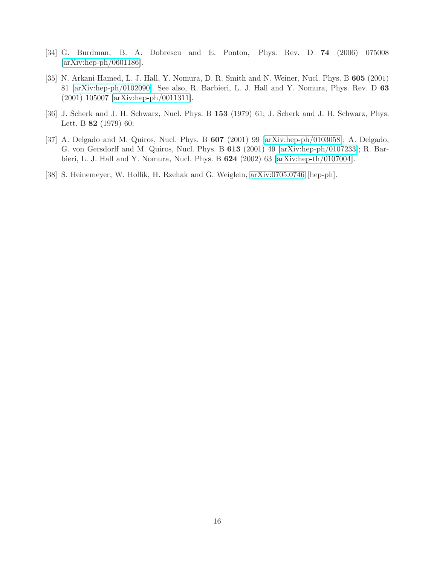- <span id="page-15-1"></span><span id="page-15-0"></span>[34] G. Burdman, B. A. Dobrescu and E. Ponton, Phys. Rev. D 74 (2006) 075008 [\[arXiv:hep-ph/0601186\]](http://arxiv.org/abs/hep-ph/0601186).
- [35] N. Arkani-Hamed, L. J. Hall, Y. Nomura, D. R. Smith and N. Weiner, Nucl. Phys. B 605 (2001) 81 [\[arXiv:hep-ph/0102090\]](http://arxiv.org/abs/hep-ph/0102090). See also, R. Barbieri, L. J. Hall and Y. Nomura, Phys. Rev. D 63 (2001) 105007 [\[arXiv:hep-ph/0011311\]](http://arxiv.org/abs/hep-ph/0011311).
- <span id="page-15-3"></span><span id="page-15-2"></span>[36] J. Scherk and J. H. Schwarz, Nucl. Phys. B 153 (1979) 61; J. Scherk and J. H. Schwarz, Phys. Lett. B 82 (1979) 60;
- [37] A. Delgado and M. Quiros, Nucl. Phys. B  $607$  (2001) 99 [\[arXiv:hep-ph/0103058\]](http://arxiv.org/abs/hep-ph/0103058); A. Delgado, G. von Gersdorff and M. Quiros, Nucl. Phys. B 613 (2001) 49 [\[arXiv:hep-ph/0107233\]](http://arxiv.org/abs/hep-ph/0107233); R. Barbieri, L. J. Hall and Y. Nomura, Nucl. Phys. B 624 (2002) 63 [\[arXiv:hep-th/0107004\]](http://arxiv.org/abs/hep-th/0107004).
- <span id="page-15-4"></span>[38] S. Heinemeyer, W. Hollik, H. Rzehak and G. Weiglein, [arXiv:0705.0746](http://arxiv.org/abs/0705.0746) [hep-ph].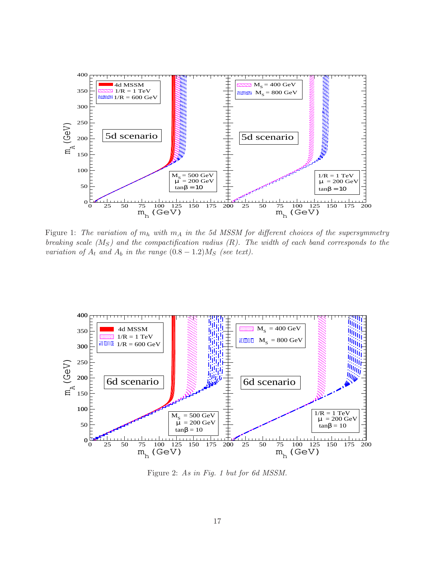

Figure 1: The variation of  $m_h$  with  $m_A$  in the 5d MSSM for different choices of the supersymmetry breaking scale  $(M_S)$  and the compactification radius  $(R)$ . The width of each band corresponds to the variation of  $A_t$  and  $A_b$  in the range  $(0.8 - 1.2)M_s$  (see text).



Figure 2: As in Fig. 1 but for 6d MSSM.